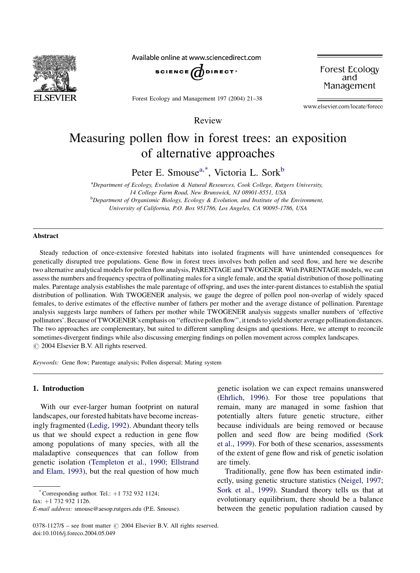

Available online at www.sciencedirect.com



Forest Ecology and Management 197 (2004) 21–38

Forest Ecology and Management

www.elsevier.com/locate/foreco

Review

## Measuring pollen flow in forest trees: an exposition of alternative approaches

Peter E. Smouse<sup>a,\*</sup>, Victoria L. Sork<sup>b</sup>

<sup>a</sup>Department of Ecology, Evolution & Natural Resources, Cook College, Rutgers University, 14 College Farm Road, New Brunswick, NJ 08901-8551, USA **b** Department of Organismic Biology, Ecology & Evolution, and Institute of the Environment, University of California, P.O. Box 951786, Los Angeles, CA 90095-1786, USA

#### Abstract

Steady reduction of once-extensive forested habitats into isolated fragments will have unintended consequences for genetically disrupted tree populations. Gene flow in forest trees involves both pollen and seed flow, and here we describe two alternative analytical models for pollen flow analysis, PARENTAGE and TWOGENER. With PARENTAGE models, we can assess the numbers and frequency spectra of pollinating males for a single female, and the spatial distribution of those pollinating males. Parentage analysis establishes the male parentage of offspring, and uses the inter-parent distances to establish the spatial distribution of pollination. With TWOGENER analysis, we gauge the degree of pollen pool non-overlap of widely spaced females, to derive estimates of the effective number of fathers per mother and the average distance of pollination. Parentage analysis suggests large numbers of fathers per mother while TWOGENER analysis suggests smaller numbers of 'effective pollinators'. Because of TWOGENER's emphasis on ''effective pollen flow'', it tends to yield shorter average pollination distances. The two approaches are complementary, but suited to different sampling designs and questions. Here, we attempt to reconcile sometimes-divergent findings while also discussing emerging findings on pollen movement across complex landscapes.  $\odot$  2004 Elsevier B.V. All rights reserved.

Keywords: Gene flow; Parentage analysis; Pollen dispersal; Mating system

#### 1. Introduction

With our ever-larger human footprint on natural landscapes, our forested habitats have become increasingly fragmented [\(Ledig, 1992](#page-16-0)). Abundant theory tells us that we should expect a reduction in gene flow among populations of many species, with all the maladaptive consequences that can follow from genetic isolation [\(Templeton et al., 1990; Ellstrand](#page-17-0) [and Elam, 1993](#page-17-0)), but the real question of how much

fax: +1 732 932 1126.

genetic isolation we can expect remains unanswered ([Ehrlich, 1996](#page-15-0)). For those tree populations that remain, many are managed in some fashion that potentially alters future genetic structure, either because individuals are being removed or because pollen and seed flow are being modified [\(Sork](#page-16-0) [et al., 1999](#page-16-0)). For both of these scenarios, assessments of the extent of gene flow and risk of genetic isolation are timely.

Traditionally, gene flow has been estimated indirectly, using genetic structure statistics ([Neigel, 1997;](#page-16-0) [Sork et al., 1999\)](#page-16-0). Standard theory tells us that at evolutionary equilibrium, there should be a balance between the genetic population radiation caused by

Corresponding author. Tel.: +1 732 932 1124;

E-mail address: smouse@aesop.rutgers.edu (P.E. Smouse).

<sup>0378-1127/\$ –</sup> see front matter  $\odot$  2004 Elsevier B.V. All rights reserved. doi:10.1016/j.foreco.2004.05.049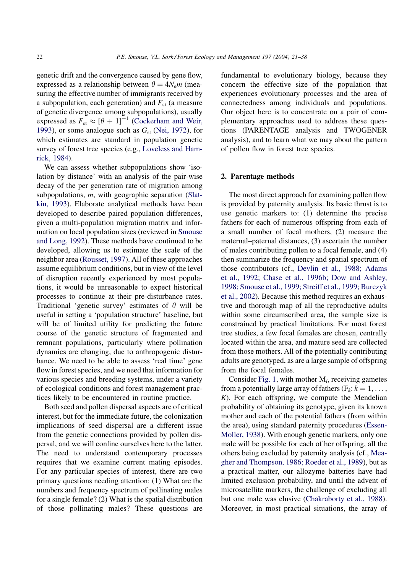genetic drift and the convergence caused by gene flow, expressed as a relationship between  $\theta = 4N_e m$  (measuring the effective number of immigrants received by a subpopulation, each generation) and  $F_{st}$  (a measure of genetic divergence among subpopulations), usually expressed as  $F_{st} \approx [\theta + 1]^{-1}$  ([Cockerham and Weir,](#page-15-0) [1993](#page-15-0)), or some analogue such as  $G_{st}$  [\(Nei, 1972](#page-16-0)), for which estimates are standard in population genetic survey of forest tree species (e.g., [Loveless and Ham](#page-16-0)[rick, 1984\)](#page-16-0).

We can assess whether subpopulations show 'isolation by distance' with an analysis of the pair-wise decay of the per generation rate of migration among subpopulations,  $m$ , with geographic separation ([Slat](#page-16-0)[kin, 1993\)](#page-16-0). Elaborate analytical methods have been developed to describe paired population differences, given a multi-population migration matrix and information on local population sizes (reviewed in [Smouse](#page-16-0) [and Long, 1992\)](#page-16-0). These methods have continued to be developed, allowing us to estimate the scale of the neighbor area ([Rousset, 1997\)](#page-16-0). All of these approaches assume equilibrium conditions, but in view of the level of disruption recently experienced by most populations, it would be unreasonable to expect historical processes to continue at their pre-disturbance rates. Traditional 'genetic survey' estimates of  $\theta$  will be useful in setting a 'population structure' baseline, but will be of limited utility for predicting the future course of the genetic structure of fragmented and remnant populations, particularly where pollination dynamics are changing, due to anthropogenic disturbance. We need to be able to assess 'real time' gene flow in forest species, and we need that information for various species and breeding systems, under a variety of ecological conditions and forest management practices likely to be encountered in routine practice.

Both seed and pollen dispersal aspects are of critical interest, but for the immediate future, the colonization implications of seed dispersal are a different issue from the genetic connections provided by pollen dispersal, and we will confine ourselves here to the latter. The need to understand contemporary processes requires that we examine current mating episodes. For any particular species of interest, there are two primary questions needing attention: (1) What are the numbers and frequency spectrum of pollinating males for a single female? (2) What is the spatial distribution of those pollinating males? These questions are fundamental to evolutionary biology, because they concern the effective size of the population that experiences evolutionary processes and the area of connectedness among individuals and populations. Our object here is to concentrate on a pair of complementary approaches used to address these questions (PARENTAGE analysis and TWOGENER analysis), and to learn what we may about the pattern of pollen flow in forest tree species.

#### 2. Parentage methods

The most direct approach for examining pollen flow is provided by paternity analysis. Its basic thrust is to use genetic markers to: (1) determine the precise fathers for each of numerous offspring from each of a small number of focal mothers, (2) measure the maternal–paternal distances, (3) ascertain the number of males contributing pollen to a focal female, and (4) then summarize the frequency and spatial spectrum of those contributors (cf., [Devlin et al., 1988; Adams](#page-15-0) [et al., 1992; Chase et al., 1996b; Dow and Ashley,](#page-15-0) [1998; Smouse et al., 1999; Streiff et al., 1999; Burczyk](#page-15-0) [et al., 2002\)](#page-15-0). Because this method requires an exhaustive and thorough map of all the reproductive adults within some circumscribed area, the sample size is constrained by practical limitations. For most forest tree studies, a few focal females are chosen, centrally located within the area, and mature seed are collected from those mothers. All of the potentially contributing adults are genotyped, as are a large sample of offspring from the focal females.

Consider [Fig. 1](#page-2-0), with mother  $M_i$ , receiving gametes from a potentially large array of fathers ( $F_k: k = 1, \ldots$ ,  $K$ ). For each offspring, we compute the Mendelian probability of obtaining its genotype, given its known mother and each of the potential fathers (from within the area), using standard paternity procedures [\(Essen-](#page-15-0)[Moller, 1938](#page-15-0)). With enough genetic markers, only one male will be possible for each of her offspring, all the others being excluded by paternity analysis (cf., [Mea](#page-16-0)[gher and Thompson, 1986; Roeder et al., 1989\)](#page-16-0), but as a practical matter, our allozyme batteries have had limited exclusion probability, and until the advent of microsatellite markers, the challenge of excluding all but one male was elusive [\(Chakraborty et al., 1988\)](#page-15-0). Moreover, in most practical situations, the array of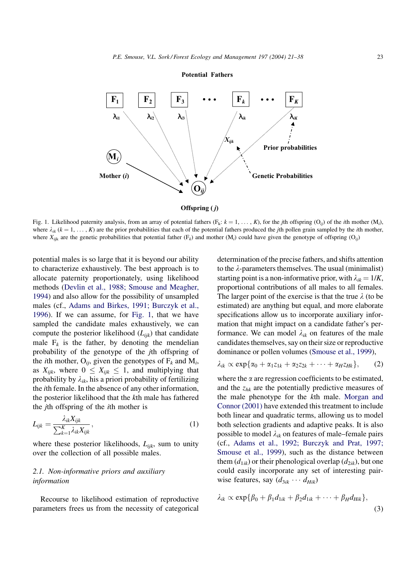**Potential Fathers** 

# <span id="page-2-0"></span> $\mathbf{F}_1$  |  $\mathbf{F}_2$  |  $\mathbf{F}_3$  ••• |  $\mathbf{F}_k$  | ••• |  $\mathbf{F}_K$  $\lambda_{i1}$   $\lambda_{i2}$   $\lambda_{i3}$   $\lambda_{ik}$   $\lambda_{ik}$  *Xijk* **Prior probabilities M***<sup>i</sup>* **Mother (***i*)  $\qquad \qquad \blacklozenge$  **f**  $\qquad \qquad$  **Genetic Probabilities**  $\mathbf{O}_{i j}$ **Offspring (** *j***)**

Fig. 1. Likelihood paternity analysis, from an array of potential fathers  $(F_k: k = 1, ..., K)$ , for the jth offspring  $(O_{ii})$  of the ith mother  $(M_i)$ , where  $\lambda_{ik}$  ( $k = 1, \ldots, K$ ) are the prior probabilities that each of the potential fathers produced the *j*th pollen grain sampled by the *i*th mother, where  $X_{ijk}$  are the genetic probabilities that potential father ( $F_k$ ) and mother ( $M_i$ ) could have given the genotype of offspring ( $O_{ij}$ )

potential males is so large that it is beyond our ability to characterize exhaustively. The best approach is to allocate paternity proportionately, using likelihood methods [\(Devlin et al., 1988; Smouse and Meagher,](#page-15-0) [1994](#page-15-0)) and also allow for the possibility of unsampled males (cf., [Adams and Birkes, 1991; Burczyk et al.,](#page-15-0) [1996](#page-15-0)). If we can assume, for Fig. 1, that we have sampled the candidate males exhaustively, we can compute the posterior likelihood  $(L_{ijk})$  that candidate male  $F_k$  is the father, by denoting the mendelian probability of the genotype of the jth offspring of the *i*th mother,  $O_{ij}$ , given the genotypes of  $F_k$  and  $M_i$ , as  $X_{ijk}$ , where  $0 \leq X_{ijk} \leq 1$ , and multiplying that probability by  $\lambda_{ik}$ , his a priori probability of fertilizing the ith female. In the absence of any other information, the posterior likelihood that the kth male has fathered the jth offspring of the ith mother is

$$
L_{ijk} = \frac{\lambda_{ik} X_{ijk}}{\sum_{k=1}^{K} \lambda_{ik} X_{ijk}},
$$
\n(1)

where these posterior likelihoods,  $L_{iik}$ , sum to unity over the collection of all possible males.

## 2.1. Non-informative priors and auxiliary information

Recourse to likelihood estimation of reproductive parameters frees us from the necessity of categorical determination of the precise fathers, and shifts attention to the  $\lambda$ -parameters themselves. The usual (minimalist) starting point is a non-informative prior, with  $\lambda_{ik} = 1/K$ , proportional contributions of all males to all females. The larger point of the exercise is that the true  $\lambda$  (to be estimated) are anything but equal, and more elaborate specifications allow us to incorporate auxiliary information that might impact on a candidate father's performance. We can model  $\lambda_{ik}$  on features of the male candidates themselves, say on their size or reproductive dominance or pollen volumes [\(Smouse et al., 1999\)](#page-16-0),

$$
\lambda_{ik} \propto \exp\{\alpha_0 + \alpha_1 z_{1k} + \alpha_2 z_{2k} + \cdots + \alpha_H z_{Hk}\},\qquad(2)
$$

where the  $\alpha$  are regression coefficients to be estimated, and the  $z_{hk}$  are the potentially predictive measures of the male phenotype for the kth male. [Morgan and](#page-16-0) [Connor \(2001\)](#page-16-0) have extended this treatment to include both linear and quadratic terms, allowing us to model both selection gradients and adaptive peaks. It is also possible to model  $\lambda_{ik}$  on features of male–female pairs (cf., [Adams et al., 1992; Burczyk and Prat, 1997;](#page-15-0) [Smouse et al., 1999](#page-15-0)), such as the distance between them  $(d_{1ik})$  or their phenological overlap  $(d_{2ik})$ , but one could easily incorporate any set of interesting pairwise features, say  $(d_{3ik} \cdots d_{Hik})$ 

$$
\lambda_{ik} \propto \exp\{\beta_0 + \beta_1 d_{1ik} + \beta_2 d_{1ik} + \cdots + \beta_H d_{Hik}\},\tag{3}
$$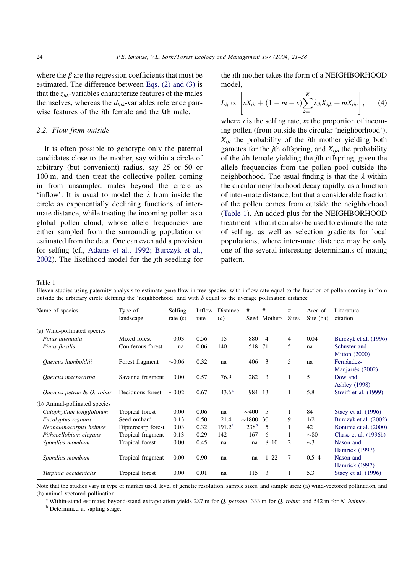<span id="page-3-0"></span>where the  $\beta$  are the regression coefficients that must be estimated. The difference between [Eqs. \(2\) and \(3\)](#page-2-0) is that the  $z_{hk}$ -variables characterize features of the males themselves, whereas the  $d_{hik}$ -variables reference pairwise features of the ith female and the kth male.

#### 2.2. Flow from outside

It is often possible to genotype only the paternal candidates close to the mother, say within a circle of arbitrary (but convenient) radius, say 25 or 50 or 100 m, and then treat the collective pollen coming in from unsampled males beyond the circle as 'inflow'. It is usual to model the  $\lambda$  from inside the circle as exponentially declining functions of intermate distance, while treating the incoming pollen as a global pollen cloud, whose allele frequencies are either sampled from the surrounding population or estimated from the data. One can even add a provision for selfing (cf., [Adams et al., 1992; Burczyk et al.,](#page-15-0) [2002](#page-15-0)). The likelihood model for the jth seedling for the ith mother takes the form of a NEIGHBORHOOD model,

$$
L_{ij} \propto \left[ sX_{iji} + (1 - m - s) \sum_{k=1}^{K} \lambda_{ik} X_{ijk} + m X_{ijo} \right],
$$
 (4)

where s is the selfing rate,  $m$  the proportion of incoming pollen (from outside the circular 'neighborhood'),  $X_{iii}$  the probability of the *i*th mother yielding both gametes for the *j*th offspring, and  $X_{ij}$  the probability of the ith female yielding the jth offspring, given the allele frequencies from the pollen pool outside the neighborhood. The usual finding is that the  $\lambda$  within the circular neighborhood decay rapidly, as a function of inter-mate distance, but that a considerable fraction of the pollen comes from outside the neighborhood (Table 1). An added plus for the NEIGHBORHOOD treatment is that it can also be used to estimate the rate of selfing, as well as selection gradients for local populations, where inter-mate distance may be only one of the several interesting determinants of mating pattern.

Table 1

Eleven studies using paternity analysis to estimate gene flow in tree species, with inflow rate equal to the fraction of pollen coming in from outside the arbitrary circle defining the 'neighborhood' and with  $\delta$  equal to the average pollination distance

| Name of species               | Type of<br>landscape | Selfing<br>rate $(s)$ | Inflow<br>rate | Distance<br>$(\delta)$ | #                | #<br>Seed Mothers | #<br><b>Sites</b> | Area of<br>Site (ha) | Literature<br>citation             |
|-------------------------------|----------------------|-----------------------|----------------|------------------------|------------------|-------------------|-------------------|----------------------|------------------------------------|
| (a) Wind-pollinated species   |                      |                       |                |                        |                  |                   |                   |                      |                                    |
| Pinus attenuata               | Mixed forest         | 0.03                  | 0.56           | 15                     | 880              | $\overline{4}$    | $\overline{4}$    | 0.04                 | Burczyk et al. (1996)              |
| Pinus flexilis                | Coniferous forest    | na                    | 0.06           | 140                    | 518 71           |                   | 5                 | na                   | Schuster and<br>Mitton $(2000)$    |
| Quercus humboldtii            | Forest fragment      | $\sim 0.06$           | 0.32           | na                     | 406              | $\overline{3}$    | 5                 | na                   | Fernández-<br>Manjarrés (2002)     |
| Quercus macrocarpa            | Savanna fragment     | 0.00                  | 0.57           | 76.9                   | 282              | 3                 | $\mathbf{1}$      | 5                    | Dow and<br><b>Ashley</b> (1998)    |
| Quercus petrae & Q. robur     | Deciduous forest     | $\sim 0.02$           | 0.67           | $43.6^{\rm a}$         | 984 13           |                   | 1                 | 5.8                  | Streiff et al. (1999)              |
| (b) Animal-pollinated species |                      |                       |                |                        |                  |                   |                   |                      |                                    |
| Calophyllum longifoloium      | Tropical forest      | 0.00                  | 0.06           | na                     | $\sim$ 400       | - 5               | 1                 | 84                   | Stacy et al. (1996)                |
| Eucalyptus regnans            | Seed orchard         | 0.13                  | 0.50           | 21.4                   | $\sim$ 1800      | 30                | 9                 | 1/2                  | Burczyk et al. (2002)              |
| Neobalanocarpus heimee        | Dipterocarp forest   | 0.03                  | 0.32           | 191.2 <sup>a</sup>     | 238 <sup>b</sup> | 5                 |                   | 42                   | Konuma et al. (2000)               |
| Pithecellobium elegans        | Tropical fragment    | 0.13                  | 0.29           | 142                    | 167              | 6                 |                   | $\sim 80$            | Chase et al. (1996b)               |
| Spondias mombum               | Tropical forest      | 0.00                  | 0.45           | na                     | na               | $8 - 10$          | 2                 | $\sim$ 3             | Nason and<br>Hamrick (1997)        |
| Spondias mombum               | Tropical fragment    | 0.00                  | 0.90           | na                     | na               | $1 - 22$          | 7                 | $0.5 - 4$            | Nason and<br><b>Hamrick</b> (1997) |
| Turpinia occidentalis         | Tropical forest      | 0.00                  | 0.01           | na                     | 115              | 3                 |                   | 5.3                  | Stacy et al. (1996)                |

Note that the studies vary in type of marker used, level of genetic resolution, sample sizes, and sample area: (a) wind-vectored pollination, and (b) animal-vectored pollination.<br>a Within-stand estimate; beyond-stand extrapolation yields 287 m for  $Q$ . petraea, 333 m for  $Q$ . robur, and 542 m for N. heimee.

<sup>b</sup> Determined at sapling stage.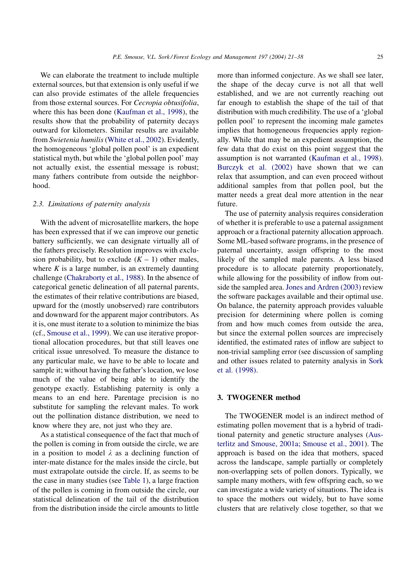We can elaborate the treatment to include multiple external sources, but that extension is only useful if we can also provide estimates of the allele frequencies from those external sources. For Cecropia obtusifolia, where this has been done [\(Kaufman et al., 1998\)](#page-16-0), the results show that the probability of paternity decays outward for kilometers. Similar results are available from Swietenia humilis [\(White et al., 2002](#page-17-0)). Evidently, the homogeneous 'global pollen pool' is an expedient statistical myth, but while the 'global pollen pool' may not actually exist, the essential message is robust; many fathers contribute from outside the neighborhood.

## 2.3. Limitations of paternity analysis

With the advent of microsatellite markers, the hope has been expressed that if we can improve our genetic battery sufficiently, we can designate virtually all of the fathers precisely. Resolution improves with exclusion probability, but to exclude  $(K - 1)$  other males, where  $K$  is a large number, is an extremely daunting challenge ([Chakraborty et al., 1988\)](#page-15-0). In the absence of categorical genetic delineation of all paternal parents, the estimates of their relative contributions are biased, upward for the (mostly unobserved) rare contributors and downward for the apparent major contributors. As it is, one must iterate to a solution to minimize the bias (cf., [Smouse et al., 1999](#page-16-0)). We can use iterative proportional allocation procedures, but that still leaves one critical issue unresolved. To measure the distance to any particular male, we have to be able to locate and sample it; without having the father's location, we lose much of the value of being able to identify the genotype exactly. Establishing paternity is only a means to an end here. Parentage precision is no substitute for sampling the relevant males. To work out the pollination distance distribution, we need to know where they are, not just who they are.

As a statistical consequence of the fact that much of the pollen is coming in from outside the circle, we are in a position to model  $\lambda$  as a declining function of inter-mate distance for the males inside the circle, but must extrapolate outside the circle. If, as seems to be the case in many studies (see [Table 1](#page-3-0)), a large fraction of the pollen is coming in from outside the circle, our statistical delineation of the tail of the distribution from the distribution inside the circle amounts to little more than informed conjecture. As we shall see later, the shape of the decay curve is not all that well established, and we are not currently reaching out far enough to establish the shape of the tail of that distribution with much credibility. The use of a 'global pollen pool' to represent the incoming male gametes implies that homogeneous frequencies apply regionally. While that may be an expedient assumption, the few data that do exist on this point suggest that the assumption is not warranted ([Kaufman et al., 1998](#page-16-0)). [Burczyk et al. \(2002\)](#page-15-0) have shown that we can relax that assumption, and can even proceed without additional samples from that pollen pool, but the matter needs a great deal more attention in the near future.

The use of paternity analysis requires consideration of whether it is preferable to use a paternal assignment approach or a fractional paternity allocation approach. Some ML-based software programs, in the presence of paternal uncertainty, assign offspring to the most likely of the sampled male parents. A less biased procedure is to allocate paternity proportionately, while allowing for the possibility of inflow from outside the sampled area. [Jones and Ardren \(2003\)](#page-16-0) review the software packages available and their optimal use. On balance, the paternity approach provides valuable precision for determining where pollen is coming from and how much comes from outside the area, but since the external pollen sources are imprecisely identified, the estimated rates of inflow are subject to non-trivial sampling error (see discussion of sampling and other issues related to paternity analysis in [Sork](#page-16-0) [et al. \(1998\).](#page-16-0)

#### 3. TWOGENER method

The TWOGENER model is an indirect method of estimating pollen movement that is a hybrid of traditional paternity and genetic structure analyses [\(Aus](#page-15-0)[terlitz and Smouse, 2001a; Smouse et al., 2001](#page-15-0)). The approach is based on the idea that mothers, spaced across the landscape, sample partially or completely non-overlapping sets of pollen donors. Typically, we sample many mothers, with few offspring each, so we can investigate a wide variety of situations. The idea is to space the mothers out widely, but to have some clusters that are relatively close together, so that we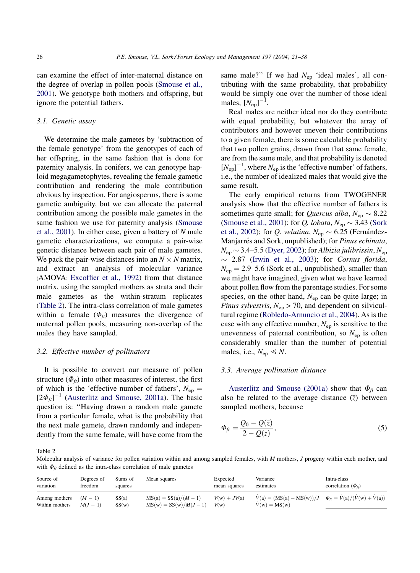can examine the effect of inter-maternal distance on the degree of overlap in pollen pools ([Smouse et al.,](#page-16-0) [2001](#page-16-0)). We genotype both mothers and offspring, but ignore the potential fathers.

#### 3.1. Genetic assay

We determine the male gametes by 'subtraction of the female genotype' from the genotypes of each of her offspring, in the same fashion that is done for paternity analysis. In conifers, we can genotype haploid megagametophytes, revealing the female gametic contribution and rendering the male contribution obvious by inspection. For angiosperms, there is some gametic ambiguity, but we can allocate the paternal contribution among the possible male gametes in the same fashion we use for paternity analysis ([Smouse](#page-16-0) [et al., 2001](#page-16-0)). In either case, given a battery of N male gametic characterizations, we compute a pair-wise genetic distance between each pair of male gametes. We pack the pair-wise distances into an  $N \times N$  matrix, and extract an analysis of molecular variance (AMOVA: [Excoffier et al., 1992](#page-15-0)) from that distance matrix, using the sampled mothers as strata and their male gametes as the within-stratum replicates (Table 2). The intra-class correlation of male gametes within a female  $(\Phi_{ft})$  measures the divergence of maternal pollen pools, measuring non-overlap of the males they have sampled.

#### 3.2. Effective number of pollinators

It is possible to convert our measure of pollen structure  $(\Phi_{ft})$  into other measures of interest, the first of which is the 'effective number of fathers',  $N_{\rm en}$  =  $\left[2\Phi_{ft}\right]^{-1}$  [\(Austerlitz and Smouse, 2001a](#page-15-0)). The basic question is: ''Having drawn a random male gamete from a particular female, what is the probability that the next male gamete, drawn randomly and independently from the same female, will have come from the same male?" If we had  $N_{ep}$  'ideal males', all contributing with the same probability, that probability would be simply one over the number of those ideal males,  $[N_{ep}]^{-1}$ .

Real males are neither ideal nor do they contribute with equal probability, but whatever the array of contributors and however uneven their contributions to a given female, there is some calculable probability that two pollen grains, drawn from that same female, are from the same male, and that probability is denoted  $[N_{\rm ep}]^{-1}$ , where  $N_{\rm ep}$  is the 'effective number' of fathers, i.e., the number of idealized males that would give the same result.

The early empirical returns from TWOGENER analysis show that the effective number of fathers is sometimes quite small; for *Quercus alba*,  $N_{ep} \sim 8.22$ ([Smouse et al., 2001](#page-16-0)); for *Q. lobata*,  $N_{ep} \sim 3.43$  ([Sork](#page-16-0) [et al., 2002\)](#page-16-0); for *Q. velutina*,  $N_{\rm en} \sim 6.25$  (Fernández-Manjarrés and Sork, unpublished); for Pinus echinata,  $N_{\rm ep}$   $\sim$  3.4–5.5 ([Dyer, 2002](#page-15-0)); for Albizia julibrissin,  $N_{\rm ep}$  $\sim$  2.87 [\(Irwin et al., 2003\)](#page-16-0); for Cornus florida,  $N_{\rm en}$  = 2.9–5.6 (Sork et al., unpublished), smaller than we might have imagined, given what we have learned about pollen flow from the parentage studies. For some species, on the other hand,  $N_{ep}$  can be quite large; in Pinus sylvestris,  $N_{ep} > 70$ , and dependent on silvicultural regime ([Robledo-Arnuncio et al., 2004](#page-16-0)). As is the case with any effective number,  $N_{ep}$  is sensitive to the unevenness of paternal contribution, so  $N_{ep}$  is often considerably smaller than the number of potential males, i.e.,  $N_{ep} \ll N$ .

#### 3.3. Average pollination distance

[Austerlitz and Smouse \(2001a\)](#page-15-0) show that  $\Phi_{ft}$  can also be related to the average distance  $(\bar{z})$  between sampled mothers, because

$$
\Phi_{ft} = \frac{Q_0 - Q(\overline{z})}{2 - Q(\overline{z})},\tag{5}
$$

Table 2

Molecular analysis of variance for pollen variation within and among sampled females, with  $M$  mothers,  $J$  progeny within each mother, and with  $\Phi_{ft}$  defined as the intra-class correlation of male gametes

| Source of      | Degrees of | Sums of | Mean squares             | Expected       | Variance                                                                            | Intra-class                      |
|----------------|------------|---------|--------------------------|----------------|-------------------------------------------------------------------------------------|----------------------------------|
| variation      | freedom    | squares |                          | mean squares   | estimates                                                                           | correlation ( $\Phi_{\hat{r}}$ ) |
| Among mothers  | $(M - 1)$  | SS(a)   | $MS(a) = SS(a)/(M-1)$    | $V(w) + JV(a)$ | $\hat{V}(a) = (MS(a) - MS(w))/J$ $\Phi_{ft} = \hat{V}(a)/(\hat{V}(w) + \hat{V}(a))$ |                                  |
| Within mothers | $M(J-1)$   | SS(w)   | $MS(w) = SS(w)/M(J - 1)$ | V(w)           | $V(w) = MS(w)$                                                                      |                                  |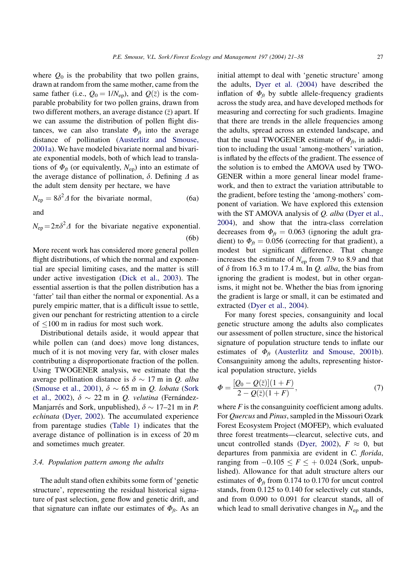<span id="page-6-0"></span>where  $Q_0$  is the probability that two pollen grains, drawn at random from the same mother, came from the same father (i.e.,  $Q_0 = 1/N_{\text{ep}}$ ), and  $Q(\bar{z})$  is the comparable probability for two pollen grains, drawn from two different mothers, an average distance  $(\bar{z})$  apart. If we can assume the distribution of pollen flight distances, we can also translate  $\Phi_{ft}$  into the average distance of pollination ([Austerlitz and Smouse,](#page-15-0) [2001a\)](#page-15-0). We have modeled bivariate normal and bivariate exponential models, both of which lead to translations of  $\Phi_{ft}$  (or equivalently,  $N_{ep}$ ) into an estimate of the average distance of pollination,  $\delta$ . Defining  $\Delta$  as the adult stem density per hectare, we have

 $N_{\rm ep} = 8\delta^2 \Delta$  for the bivariate normal, (6a)

and

 $N_{\rm ep} = 2\pi\delta^2 \Delta$  for the bivariate negative exponential. (6b)

More recent work has considered more general pollen flight distributions, of which the normal and exponential are special limiting cases, and the matter is still under active investigation [\(Dick et al., 2003](#page-15-0)). The essential assertion is that the pollen distribution has a 'fatter' tail than either the normal or exponential. As a purely empiric matter, that is a difficult issue to settle, given our penchant for restricting attention to a circle of  $\leq 100$  m in radius for most such work.

Distributional details aside, it would appear that while pollen can (and does) move long distances, much of it is not moving very far, with closer males contributing a disproportionate fraction of the pollen. Using TWOGENER analysis, we estimate that the average pollination distance is  $\delta \sim 17$  m in *Q. alba* ([Smouse et al., 2001](#page-16-0)),  $\delta \sim 65$  m in *Q. lobata* ([Sork](#page-16-0) [et al., 2002\)](#page-16-0),  $\delta \sim 22$  m in *Q. velutina* (Fernández-Manjarrés and Sork, unpublished),  $\delta \sim 17-21$  m in P. echinata [\(Dyer, 2002](#page-15-0)). The accumulated experience from parentage studies ([Table 1\)](#page-3-0) indicates that the average distance of pollination is in excess of 20 m and sometimes much greater.

#### 3.4. Population pattern among the adults

The adult stand often exhibits some form of 'genetic structure', representing the residual historical signature of past selection, gene flow and genetic drift, and that signature can inflate our estimates of  $\Phi_{ft}$ . As an initial attempt to deal with 'genetic structure' among the adults, [Dyer et al. \(2004\)](#page-15-0) have described the inflation of  $\Phi_{ft}$  by subtle allele-frequency gradients across the study area, and have developed methods for measuring and correcting for such gradients. Imagine that there are trends in the allele frequencies among the adults, spread across an extended landscape, and that the usual TWOGENER estimate of  $\Phi_{ft}$ , in addition to including the usual 'among-mothers' variation, is inflated by the effects of the gradient. The essence of the solution is to embed the AMOVA used by TWO-GENER within a more general linear model framework, and then to extract the variation attributable to the gradient, before testing the 'among-mothers' component of variation. We have explored this extension with the ST AMOVA analysis of *O. alba* ([Dyer et al.,](#page-15-0) [2004\)](#page-15-0), and show that the intra-class correlation decreases from  $\Phi_{\text{ft}} = 0.063$  (ignoring the adult gradient) to  $\Phi_{\text{ft}} = 0.056$  (correcting for that gradient), a modest but significant difference. That change increases the estimate of  $N_{ep}$  from 7.9 to 8.9 and that of  $\delta$  from 16.3 m to 17.4 m. In Q. alba, the bias from ignoring the gradient is modest, but in other organisms, it might not be. Whether the bias from ignoring the gradient is large or small, it can be estimated and extracted ([Dyer et al., 2004](#page-15-0)).

For many forest species, consanguinity and local genetic structure among the adults also complicates our assessment of pollen structure, since the historical signature of population structure tends to inflate our estimates of  $\Phi_{ft}$  ([Austerlitz and Smouse, 2001b](#page-15-0)). Consanguinity among the adults, representing historical population structure, yields

$$
\Phi = \frac{[Q_0 - Q(\bar{z})](1 + F)}{2 - Q(\bar{z})(1 + F)},\tag{7}
$$

where  $F$  is the consanguinity coefficient among adults. For Quercus and Pinus, sampled in the Missouri Ozark Forest Ecosystem Project (MOFEP), which evaluated three forest treatments—clearcut, selective cuts, and uncut controlled stands ([Dyer, 2002\)](#page-15-0),  $F \approx 0$ , but departures from panmixia are evident in C. florida, ranging from  $-0.105 \le F \le +0.024$  (Sork, unpublished). Allowance for that adult structure alters our estimates of  $\Phi_{\rm fr}$  from 0.174 to 0.170 for uncut control stands, from 0.125 to 0.140 for selectively cut stands, and from 0.090 to 0.091 for clearcut stands, all of which lead to small derivative changes in  $N_{ep}$  and the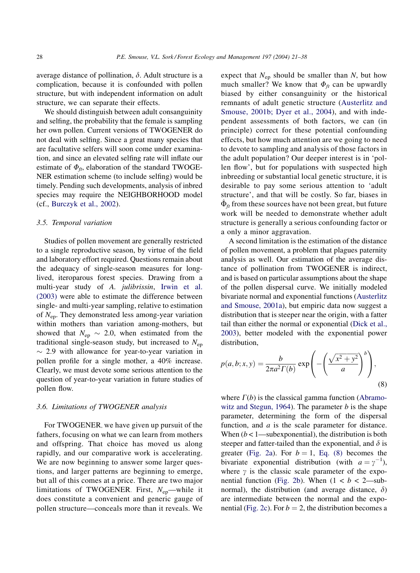<span id="page-7-0"></span>average distance of pollination,  $\delta$ . Adult structure is a complication, because it is confounded with pollen structure, but with independent information on adult structure, we can separate their effects.

We should distinguish between adult consanguinity and selfing, the probability that the female is sampling her own pollen. Current versions of TWOGENER do not deal with selfing. Since a great many species that are facultative selfers will soon come under examination, and since an elevated selfing rate will inflate our estimate of  $\Phi_{ft}$ , elaboration of the standard TWOGE-NER estimation scheme (to include selfing) would be timely. Pending such developments, analysis of inbred species may require the NEIGHBORHOOD model (cf., [Burczyk et al., 2002](#page-15-0)).

#### 3.5. Temporal variation

Studies of pollen movement are generally restricted to a single reproductive season, by virtue of the field and laboratory effort required. Questions remain about the adequacy of single-season measures for longlived, iteroparous forest species. Drawing from a multi-year study of A. julibrissin, [Irwin et al.](#page-16-0) [\(2003\)](#page-16-0) were able to estimate the difference between single- and multi-year sampling, relative to estimation of  $N_{\text{ep}}$ . They demonstrated less among-year variation within mothers than variation among-mothers, but showed that  $N_{ep} \sim 2.0$ , when estimated from the traditional single-season study, but increased to  $N_{ep}$  $\sim$  2.9 with allowance for year-to-year variation in pollen profile for a single mother, a 40% increase. Clearly, we must devote some serious attention to the question of year-to-year variation in future studies of pollen flow.

#### 3.6. Limitations of TWOGENER analysis

For TWOGENER, we have given up pursuit of the fathers, focusing on what we can learn from mothers and offspring. That choice has moved us along rapidly, and our comparative work is accelerating. We are now beginning to answer some larger questions, and larger patterns are beginning to emerge, but all of this comes at a price. There are two major limitations of TWOGENER. First,  $N_{ep}$ —while it does constitute a convenient and generic gauge of pollen structure—conceals more than it reveals. We expect that  $N_{ep}$  should be smaller than N, but how much smaller? We know that  $\Phi_{ft}$  can be upwardly biased by either consanguinity or the historical remnants of adult genetic structure [\(Austerlitz and](#page-15-0) [Smouse, 2001b; Dyer et al., 2004](#page-15-0)), and with independent assessments of both factors, we can (in principle) correct for these potential confounding effects, but how much attention are we going to need to devote to sampling and analysis of those factors in the adult population? Our deeper interest is in 'pollen flow', but for populations with suspected high inbreeding or substantial local genetic structure, it is desirable to pay some serious attention to 'adult structure', and that will be costly. So far, biases in  $\Phi_{ft}$  from these sources have not been great, but future work will be needed to demonstrate whether adult structure is generally a serious confounding factor or a only a minor aggravation.

A second limitation is the estimation of the distance of pollen movement, a problem that plagues paternity analysis as well. Our estimation of the average distance of pollination from TWOGENER is indirect, and is based on particular assumptions about the shape of the pollen dispersal curve. We initially modeled bivariate normal and exponential functions [\(Austerlitz](#page-15-0) [and Smouse, 2001a\)](#page-15-0), but empiric data now suggest a distribution that is steeper near the origin, with a fatter tail than either the normal or exponential [\(Dick et al.,](#page-15-0) [2003](#page-15-0)), better modeled with the exponential power distribution,

$$
p(a,b;x,y) = \frac{b}{2\pi a^2 \Gamma(b)} \exp\left(-\left(\frac{\sqrt{x^2 + y^2}}{a}\right)^b\right),\tag{8}
$$

where  $\Gamma(b)$  is the classical gamma function ([Abramo](#page-15-0)[witz and Stegun, 1964\)](#page-15-0). The parameter  $b$  is the shape parameter, determining the form of the dispersal function, and *a* is the scale parameter for distance. When  $(b < 1$ —subexponential), the distribution is both steeper and fatter-tailed than the exponential, and  $\delta$  is greater ([Fig. 2a](#page-8-0)). For  $b = 1$ , Eq. (8) becomes the bivariate exponential distribution (with  $a = \gamma^{-1}$ ), where  $\gamma$  is the classic scale parameter of the expo-nential function [\(Fig. 2b](#page-8-0)). When  $(1 < b < 2$ —subnormal), the distribution (and average distance,  $\delta$ ) are intermediate between the normal and the expo-nential [\(Fig. 2c\)](#page-8-0). For  $b = 2$ , the distribution becomes a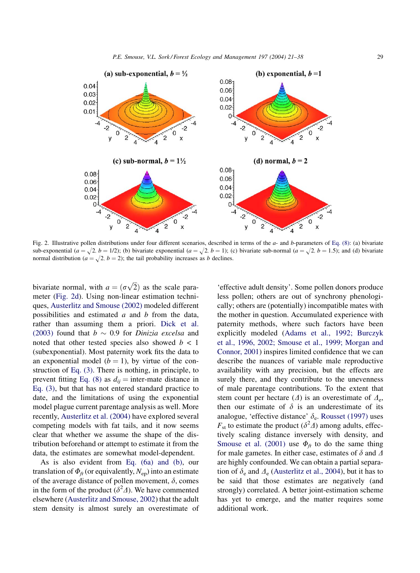<span id="page-8-0"></span>

Fig. 2. Illustrative pollen distributions under four different scenarios, described in terms of the a- and b-parameters of [Eq. \(8\):](#page-7-0) (a) bivariate sub-exponential ( $a = \sqrt{2}$ ,  $b = 1/2$ ); (b) bivariate exponential ( $a = \sqrt{2}$ ,  $b = 1$ ); (c) bivariate sub-normal ( $a = \sqrt{2}$ ,  $b = 1.5$ ); and (d) bivariate normal distribution ( $a = \sqrt{2}$ ,  $b = 2$ ); the tail probability increases as b declines.

bivariate normal, with  $a = (\sigma\sqrt{2})$  as the scale parameter (Fig. 2d). Using non-linear estimation techniques, [Austerlitz and Smouse \(2002\)](#page-15-0) modeled different possibilities and estimated  $a$  and  $b$  from the data, rather than assuming them a priori. [Dick et al.](#page-15-0) [\(2003\)](#page-15-0) found that  $b \sim 0.9$  for *Dinizia excelsa* and noted that other tested species also showed  $b < 1$ (subexponential). Most paternity work fits the data to an exponential model  $(b = 1)$ , by virtue of the construction of [Eq. \(3\)](#page-2-0). There is nothing, in principle, to prevent fitting [Eq. \(8\)](#page-7-0) as  $d_{ij}$  = inter-mate distance in [Eq. \(3\)](#page-2-0), but that has not entered standard practice to date, and the limitations of using the exponential model plague current parentage analysis as well. More recently, [Austerlitz et al. \(2004\)](#page-15-0) have explored several competing models with fat tails, and it now seems clear that whether we assume the shape of the distribution beforehand or attempt to estimate it from the data, the estimates are somewhat model-dependent.

As is also evident from [Eq. \(6a\) and \(b\)](#page-6-0), our translation of  $\Phi_{ft}$  (or equivalently,  $N_{ep}$ ) into an estimate of the average distance of pollen movement,  $\delta$ , comes in the form of the product  $(\delta^2 \Delta)$ . We have commented elsewhere ([Austerlitz and Smouse, 2002](#page-15-0)) that the adult stem density is almost surely an overestimate of 'effective adult density'. Some pollen donors produce less pollen; others are out of synchrony phenologically; others are (potentially) incompatible mates with the mother in question. Accumulated experience with paternity methods, where such factors have been explicitly modeled ([Adams et al., 1992; Burczyk](#page-15-0) [et al., 1996, 2002; Smouse et al., 1999; Morgan and](#page-15-0) [Connor, 2001](#page-15-0)) inspires limited confidence that we can describe the nuances of variable male reproductive availability with any precision, but the effects are surely there, and they contribute to the unevenness of male parentage contributions. To the extent that stem count per hectare ( $\Delta$ ) is an overestimate of  $\Delta_e$ , then our estimate of  $\delta$  is an underestimate of its analogue, 'effective distance'  $\delta_e$ . [Rousset \(1997\)](#page-16-0) uses  $F_{\rm st}$  to estimate the product ( $\delta^2 \Delta$ ) among adults, effectively scaling distance inversely with density, and [Smouse et al. \(2001\)](#page-16-0) use  $\Phi_{ft}$  to do the same thing for male gametes. In either case, estimates of  $\delta$  and  $\Delta$ are highly confounded. We can obtain a partial separation of  $\delta_e$  and  $\Delta_e$  ([Austerlitz et al., 2004](#page-15-0)), but it has to be said that those estimates are negatively (and strongly) correlated. A better joint-estimation scheme has yet to emerge, and the matter requires some additional work.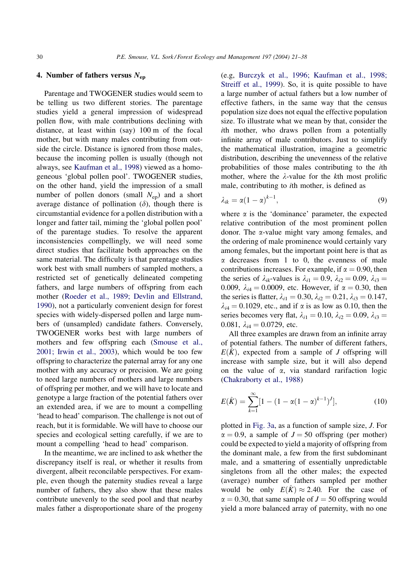## 4. Number of fathers versus  $N_{ep}$

Parentage and TWOGENER studies would seem to be telling us two different stories. The parentage studies yield a general impression of widespread pollen flow, with male contributions declining with distance, at least within (say) 100 m of the focal mother, but with many males contributing from outside the circle. Distance is ignored from those males, because the incoming pollen is usually (though not always, see [Kaufman et al., 1998\)](#page-16-0) viewed as a homogeneous 'global pollen pool'. TWOGENER studies, on the other hand, yield the impression of a small number of pollen donors (small  $N_{ep}$ ) and a short average distance of pollination  $(\delta)$ , though there is circumstantial evidence for a pollen distribution with a longer and fatter tail, miming the 'global pollen pool' of the parentage studies. To resolve the apparent inconsistencies compellingly, we will need some direct studies that facilitate both approaches on the same material. The difficulty is that parentage studies work best with small numbers of sampled mothers, a restricted set of genetically delineated competing fathers, and large numbers of offspring from each mother ([Roeder et al., 1989; Devlin and Ellstrand,](#page-16-0) [1990](#page-16-0)), not a particularly convenient design for forest species with widely-dispersed pollen and large numbers of (unsampled) candidate fathers. Conversely, TWOGENER works best with large numbers of mothers and few offspring each ([Smouse et al.,](#page-16-0) [2001; Irwin et al., 2003\)](#page-16-0), which would be too few offspring to characterize the paternal array for any one mother with any accuracy or precision. We are going to need large numbers of mothers and large numbers of offspring per mother, and we will have to locate and genotype a large fraction of the potential fathers over an extended area, if we are to mount a compelling 'head to head' comparison. The challenge is not out of reach, but it is formidable. We will have to choose our species and ecological setting carefully, if we are to mount a compelling 'head to head' comparison.

In the meantime, we are inclined to ask whether the discrepancy itself is real, or whether it results from divergent, albeit reconcilable perspectives. For example, even though the paternity studies reveal a large number of fathers, they also show that these males contribute unevenly to the seed pool and that nearby males father a disproportionate share of the progeny (e.g, [Burczyk et al., 1996; Kaufman et al., 1998;](#page-15-0) [Streiff et al., 1999](#page-15-0)). So, it is quite possible to have a large number of actual fathers but a low number of effective fathers, in the same way that the census population size does not equal the effective population size. To illustrate what we mean by that, consider the ith mother, who draws pollen from a potentially infinite array of male contributors. Just to simplify the mathematical illustration, imagine a geometric distribution, describing the unevenness of the relative probabilities of those males contributing to the ith mother, where the  $\lambda$ -value for the kth most prolific male, contributing to ith mother, is defined as

$$
\lambda_{ik} = \alpha (1 - \alpha)^{k - 1},\tag{9}
$$

where  $\alpha$  is the 'dominance' parameter, the expected relative contribution of the most prominent pollen donor. The a-value might vary among females, and the ordering of male prominence would certainly vary among females, but the important point here is that as  $\alpha$  decreases from 1 to 0, the evenness of male contributions increases. For example, if  $\alpha = 0.90$ , then the series of  $\lambda_{ik}$ -values is  $\lambda_{i1} = 0.9$ ,  $\lambda_{i2} = 0.09$ ,  $\lambda_{i3} =$ 0.009,  $\lambda_{i4} = 0.0009$ , etc. However, if  $\alpha = 0.30$ , then the series is flatter,  $\lambda_{i1} = 0.30, \lambda_{i2} = 0.21, \lambda_{i3} = 0.147$ ,  $\lambda_{i4} = 0.1029$ , etc., and if  $\alpha$  is as low as 0.10, then the series becomes very flat,  $\lambda_{i1} = 0.10$ ,  $\lambda_{i2} = 0.09$ ,  $\lambda_{i3} =$ 0.081,  $\lambda_{i4} = 0.0729$ , etc.

All three examples are drawn from an infinite array of potential fathers. The number of different fathers,  $E(\hat{K})$ , expected from a sample of J offspring will increase with sample size, but it will also depend on the value of  $\alpha$ , via standard rarifaction logic ([Chakraborty et al., 1988](#page-15-0))

$$
E(\hat{K}) = \sum_{k=1}^{\infty} [1 - (1 - \alpha(1 - \alpha)^{k-1})^J],
$$
 (10)

plotted in [Fig. 3a,](#page-10-0) as a function of sample size, J. For  $\alpha = 0.9$ , a sample of  $J = 50$  offspring (per mother) could be expected to yield a majority of offspring from the dominant male, a few from the first subdominant male, and a smattering of essentially unpredictable singletons from all the other males; the expected (average) number of fathers sampled per mother would be only  $E(\hat{K}) \approx 2.40$ . For the case of  $\alpha = 0.30$ , that same sample of  $J = 50$  offspring would yield a more balanced array of paternity, with no one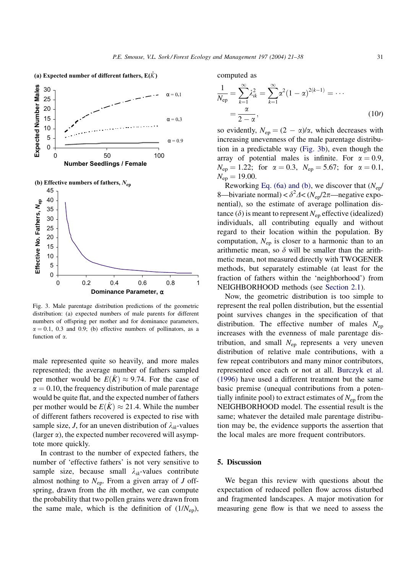<span id="page-10-0"></span>

Fig. 3. Male parentage distribution predictions of the geometric distribution: (a) expected numbers of male parents for different numbers of offspring per mother and for dominance parameters,  $\alpha = 0.1$ , 0.3 and 0.9; (b) effective numbers of pollinators, as a function of  $\alpha$ .

male represented quite so heavily, and more males represented; the average number of fathers sampled per mother would be  $E(\hat{K}) \approx 9.74$ . For the case of  $\alpha = 0.10$ , the frequency distribution of male parentage would be quite flat, and the expected number of fathers per mother would be  $E(\hat{K}) \approx 21.4$ . While the number of different fathers recovered is expected to rise with sample size, J, for an uneven distribution of  $\lambda_{ik}$ -values (larger  $\alpha$ ), the expected number recovered will asymptote more quickly.

In contrast to the number of expected fathers, the number of 'effective fathers' is not very sensitive to sample size, because small  $\lambda_{ik}$ -values contribute almost nothing to  $N_{ep}$ . From a given array of J offspring, drawn from the ith mother, we can compute the probability that two pollen grains were drawn from the same male, which is the definition of  $(1/N_{\rm en})$ , computed as

$$
\frac{1}{N_{\rm ep}} = \sum_{k=1}^{\infty} \lambda_{ik}^2 = \sum_{k=1}^{\infty} \alpha^2 (1 - \alpha)^{2(k-1)} = \cdots
$$

$$
= \frac{\alpha}{2 - \alpha},
$$
(10)

so evidently,  $N_{\text{ep}} = (2 - \alpha)/\alpha$ , which decreases with increasing unevenness of the male parentage distribution in a predictable way (Fig. 3b), even though the array of potential males is infinite. For  $\alpha = 0.9$ ,  $N_{\rm ep} = 1.22$ ; for  $\alpha = 0.3$ ,  $N_{\rm ep} = 5.67$ ; for  $\alpha = 0.1$ ,  $N_{\rm ep} = 19.00$ .

Reworking [Eq. \(6a\) and \(b\),](#page-6-0) we discover that  $(N_{ep}/$ 8—bivariate normal) <  $\delta^2 \Delta < (N_{ep}/2\pi$ —negative exponential), so the estimate of average pollination distance ( $\delta$ ) is meant to represent N<sub>ep</sub> effective (idealized) individuals, all contributing equally and without regard to their location within the population. By computation,  $N_{\text{en}}$  is closer to a harmonic than to an arithmetic mean, so  $\delta$  will be smaller than the arithmetic mean, not measured directly with TWOGENER methods, but separately estimable (at least for the fraction of fathers within the 'neighborhood') from NEIGHBORHOOD methods (see [Section 2.1\)](#page-2-0).

Now, the geometric distribution is too simple to represent the real pollen distribution, but the essential point survives changes in the specification of that distribution. The effective number of males  $N_{ep}$ increases with the evenness of male parentage distribution, and small  $N_{ep}$  represents a very uneven distribution of relative male contributions, with a few repeat contributors and many minor contributors, represented once each or not at all. [Burczyk et al.](#page-15-0) [\(1996\)](#page-15-0) have used a different treatment but the same basic premise (unequal contributions from a potentially infinite pool) to extract estimates of  $N_{\rm en}$  from the NEIGHBORHOOD model. The essential result is the same; whatever the detailed male parentage distribution may be, the evidence supports the assertion that the local males are more frequent contributors.

### 5. Discussion

We began this review with questions about the expectation of reduced pollen flow across disturbed and fragmented landscapes. A major motivation for measuring gene flow is that we need to assess the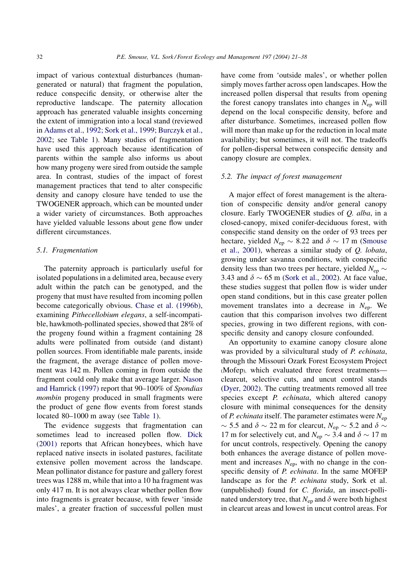impact of various contextual disturbances (humangenerated or natural) that fragment the population, reduce conspecific density, or otherwise alter the reproductive landscape. The paternity allocation approach has generated valuable insights concerning the extent of immigration into a local stand (reviewed in [Adams et al., 1992; Sork et al., 1999; Burczyk et al.,](#page-15-0) [2002](#page-15-0); see [Table 1\)](#page-3-0). Many studies of fragmentation have used this approach because identification of parents within the sample also informs us about how many progeny were sired from outside the sample area. In contrast, studies of the impact of forest management practices that tend to alter conspecific density and canopy closure have tended to use the TWOGENER approach, which can be mounted under a wider variety of circumstances. Both approaches have yielded valuable lessons about gene flow under different circumstances.

## 5.1. Fragmentation

The paternity approach is particularly useful for isolated populations in a delimited area, because every adult within the patch can be genotyped, and the progeny that must have resulted from incoming pollen become categorically obvious. [Chase et al. \(1996b\)](#page-15-0), examining Pithecellobium elegans, a self-incompatible, hawkmoth-pollinated species, showed that 28% of the progeny found within a fragment containing 28 adults were pollinated from outside (and distant) pollen sources. From identifiable male parents, inside the fragment, the average distance of pollen movement was 142 m. Pollen coming in from outside the fragment could only make that average larger. [Nason](#page-16-0) [and Hamrick \(1997\)](#page-16-0) report that 90–100% of Spondias mombin progeny produced in small fragments were the product of gene flow events from forest stands located 80–1000 m away (see [Table 1\)](#page-3-0).

The evidence suggests that fragmentation can sometimes lead to increased pollen flow. [Dick](#page-15-0) [\(2001\)](#page-15-0) reports that African honeybees, which have replaced native insects in isolated pastures, facilitate extensive pollen movement across the landscape. Mean pollinator distance for pasture and gallery forest trees was 1288 m, while that into a 10 ha fragment was only 417 m. It is not always clear whether pollen flow into fragments is greater because, with fewer 'inside males', a greater fraction of successful pollen must have come from 'outside males', or whether pollen simply moves farther across open landscapes. How the increased pollen dispersal that results from opening the forest canopy translates into changes in  $N_{\rm{ep}}$  will depend on the local conspecific density, before and after disturbance. Sometimes, increased pollen flow will more than make up for the reduction in local mate availability; but sometimes, it will not. The tradeoffs for pollen-dispersal between conspecific density and canopy closure are complex.

#### 5.2. The impact of forest management

A major effect of forest management is the alteration of conspecific density and/or general canopy closure. Early TWOGENER studies of Q. alba, in a closed-canopy, mixed conifer-deciduous forest, with conspecific stand density on the order of 93 trees per hectare, yielded  $N_{\rm ep} \sim 8.22$  and  $\delta \sim 17$  m [\(Smouse](#page-16-0) [et al., 2001](#page-16-0)), whereas a similar study of  $Q$ . *lobata*, growing under savanna conditions, with conspecific density less than two trees per hectare, yielded  $N_{\rm en} \sim$ 3.43 and  $\delta \sim 65$  m [\(Sork et al., 2002\)](#page-16-0). At face value, these studies suggest that pollen flow is wider under open stand conditions, but in this case greater pollen movement translates into a decrease in  $N_{\rm ep}$ . We caution that this comparison involves two different species, growing in two different regions, with conspecific density and canopy closure confounded.

An opportunity to examine canopy closure alone was provided by a silvicultural study of P. echinata, through the Missouri Ozark Forest Ecosystem Project (Mofep), which evaluated three forest treatments clearcut, selective cuts, and uncut control stands ([Dyer, 2002\)](#page-15-0). The cutting treatments removed all tree species except *P. echinata*, which altered canopy closure with minimal consequences for the density of P. echinata itself. The parameter estimates were  $N_{en}$  $\sim$  5.5 and  $\delta \sim 22$  m for clearcut,  $N_{\rm ep} \sim$  5.2 and  $\delta \sim$ 17 m for selectively cut, and  $N_{ep} \sim 3.4$  and  $\delta \sim 17$  m for uncut controls, respectively. Opening the canopy both enhances the average distance of pollen movement and increases  $N_{ep}$ , with no change in the conspecific density of P. echinata. In the same MOFEP landscape as for the *P. echinata* study, Sork et al. (unpublished) found for C. florida, an insect-pollinated understory tree, that  $N_{ep}$  and  $\delta$  were both highest in clearcut areas and lowest in uncut control areas. For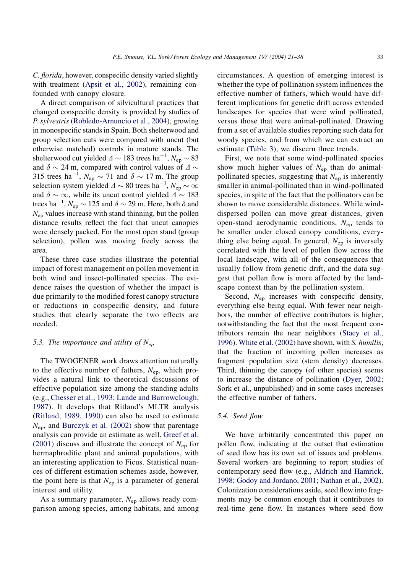C. florida, however, conspecific density varied slightly with treatment [\(Apsit et al., 2002\)](#page-15-0), remaining confounded with canopy closure.

A direct comparison of silvicultural practices that changed conspecific density is provided by studies of P. sylvestris [\(Robledo-Arnuncio et al., 2004\)](#page-16-0), growing in monospecific stands in Spain. Both shelterwood and group selection cuts were compared with uncut (but otherwise matched) controls in mature stands. The shelterwood cut yielded  $\varDelta \sim 183$  trees ha<sup>-1</sup>,  $N_{\rm ep} \sim 83$ and  $\delta \sim 24$  m, compared with control values of  $\Delta \sim$ 315 trees ha<sup>-1</sup>,  $N_{ep} \sim 71$  and  $\delta \sim 17$  m. The group selection system yielded  $\Delta \sim 80$  trees ha<sup>-1</sup>,  $N_{\rm ep} \sim \infty$ and  $\delta \sim \infty$ , while its uncut control yielded  $\Delta \sim 183$ trees ha<sup>-1</sup>,  $N_{ep} \sim 125$  and  $\delta \sim 29$  m. Here, both  $\delta$  and  $N_{\rm{ep}}$  values increase with stand thinning, but the pollen distance results reflect the fact that uncut canopies were densely packed. For the most open stand (group selection), pollen was moving freely across the area.

These three case studies illustrate the potential impact of forest management on pollen movement in both wind and insect-pollinated species. The evidence raises the question of whether the impact is due primarily to the modified forest canopy structure or reductions in conspecific density, and future studies that clearly separate the two effects are needed.

#### 5.3. The importance and utility of  $N_{ep}$

The TWOGENER work draws attention naturally to the effective number of fathers,  $N_{en}$ , which provides a natural link to theoretical discussions of effective population size among the standing adults (e.g., [Chesser et al., 1993; Lande and Barrowclough,](#page-15-0) [1987](#page-15-0)). It develops that Ritland's MLTR analysis ([Ritland, 1989, 1990](#page-16-0)) can also be used to estimate  $N_{ep}$ , and [Burczyk et al. \(2002\)](#page-15-0) show that parentage analysis can provide an estimate as well. [Greef et al.](#page-16-0) [\(2001\)](#page-16-0) discuss and illustrate the concept of  $N_{\rm ep}$  for hermaphroditic plant and animal populations, with an interesting application to Ficus. Statistical nuances of different estimation schemes aside, however, the point here is that  $N_{ep}$  is a parameter of general interest and utility.

As a summary parameter,  $N_{ep}$  allows ready comparison among species, among habitats, and among circumstances. A question of emerging interest is whether the type of pollination system influences the effective number of fathers, which would have different implications for genetic drift across extended landscapes for species that were wind pollinated, versus those that were animal-pollinated. Drawing from a set of available studies reporting such data for woody species, and from which we can extract an estimate ([Table 3](#page-13-0)), we discern three trends.

First, we note that some wind-pollinated species show much higher values of  $N_{ep}$  than do animalpollinated species, suggesting that  $N_{\text{ep}}$  is inherently smaller in animal-pollinated than in wind-pollinated species, in spite of the fact that the pollinators can be shown to move considerable distances. While winddispersed pollen can move great distances, given open-stand aerodynamic conditions,  $N_{ep}$  tends to be smaller under closed canopy conditions, everything else being equal. In general,  $N_{ep}$  is inversely correlated with the level of pollen flow across the local landscape, with all of the consequences that usually follow from genetic drift, and the data suggest that pollen flow is more affected by the landscape context than by the pollination system.

Second,  $N_{ep}$  increases with conspecific density, everything else being equal. With fewer near neighbors, the number of effective contributors is higher, notwithstanding the fact that the most frequent contributors remain the near neighbors ([Stacy et al.,](#page-17-0) [1996\)](#page-17-0). [White et al. \(2002\)](#page-17-0) have shown, with S. humilis, that the fraction of incoming pollen increases as fragment population size (stem density) decreases. Third, thinning the canopy (of other species) seems to increase the distance of pollination ([Dyer, 2002](#page-15-0); Sork et al., unpublished) and in some cases increases the effective number of fathers.

#### 5.4. Seed flow

We have arbitrarily concentrated this paper on pollen flow, indicating at the outset that estimation of seed flow has its own set of issues and problems. Several workers are beginning to report studies of contemporary seed flow (e.g., [Aldrich and Hamrick,](#page-15-0) [1998; Godoy and Jordano, 2001; Nathan et al., 2002](#page-15-0)). Colonization considerations aside, seed flow into fragments may be common enough that it contributes to real-time gene flow. In instances where seed flow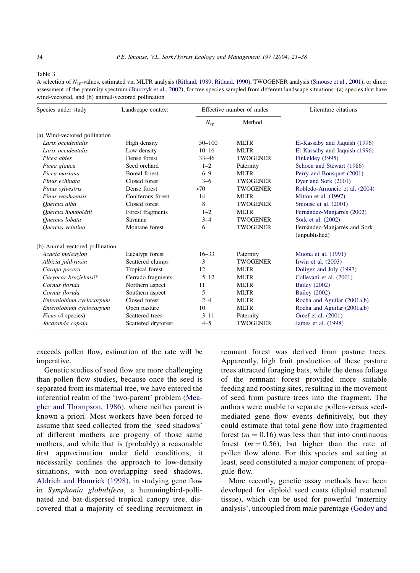<span id="page-13-0"></span>Table 3

A selection of Nep-values, estimated via MLTR analysis ([Ritland, 1989; Ritland, 1990\)](#page-16-0), TWOGENER analysis [\(Smouse et al., 2001](#page-16-0)), or direct assessment of the paternity spectrum [\(Burczyk et al., 2002\)](#page-15-0), for tree species sampled from different landscape situations: (a) species that have wind-vectored, and (b) animal-vectored pollination

| Species under study             | Landscape context    |            | Effective number of males | Literature citations                          |  |
|---------------------------------|----------------------|------------|---------------------------|-----------------------------------------------|--|
|                                 |                      | $N_{ep}$   | Method                    |                                               |  |
| (a) Wind-vectored pollination   |                      |            |                           |                                               |  |
| Larix occidentalis              | High density         | $50 - 100$ | <b>MLTR</b>               | El-Kassaby and Jaquish (1996)                 |  |
| Larix occidentalis              | Low density          | $10 - 16$  | <b>MLTR</b>               | El-Kassaby and Jaquish (1996)                 |  |
| Picea abies                     | Dense forest         | $33 - 46$  | <b>TWOGENER</b>           | Finkeldey (1995)                              |  |
| Picea glauca                    | Seed orchard         | $1 - 2$    | Paternity                 | Schoen and Stewart (1986)                     |  |
| Picea mariana                   | <b>Boreal</b> forest | $6 - 9$    | <b>MLTR</b>               | Perry and Bousquet (2001)                     |  |
| Pinus echinata                  | Closed forest        | $3 - 6$    | <b>TWOGENER</b>           | Dyer and Sork (2001)                          |  |
| Pinus sylvestris                | Dense forest         | >70        | TWOGENER                  | Robledo-Arnuncio et al. (2004)                |  |
| Pinus washoensis                | Coniferous forest    | 14         | <b>MLTR</b>               | Mitton et al. (1997)                          |  |
| Ouercus alba                    | Closed forest        | 8          | <b>TWOGENER</b>           | Smouse et al. (2001)                          |  |
| Quercus humboldtii              | Forest fragments     | $1 - 2$    | <b>MLTR</b>               | Fernández-Manjarrés (2002)                    |  |
| Ouercus lobata                  | Savanna              | $3 - 4$    | <b>TWOGENER</b>           | Sork et al. (2002)                            |  |
| Ouercus velutina                | Montane forest       | 6          | <b>TWOGENER</b>           | Fernández-Manjarrés and Sork<br>(unpublished) |  |
| (b) Animal-vectored pollination |                      |            |                           |                                               |  |
| Acacia melaxylon                | Eucalypt forest      | $16 - 33$  | Paternity                 | Muona et al. (1991)                           |  |
| Albizia julibrissin             | Scattered clumps     | 3          | <b>TWOGENER</b>           | Irwin et al. $(2003)$                         |  |
| Carapa pocera                   | Tropical forest      | 12         | <b>MLTR</b>               | Doligez and Joly (1997)                       |  |
| Caryocar brazielensi*           | Cerrado fragments    | $5 - 12$   | <b>MLTR</b>               | Collevatti et al. (2001)                      |  |
| Cornus florida                  | Northern aspect      | 11         | <b>MLTR</b>               | <b>Bailey</b> (2002)                          |  |
| Cornus florida                  | Southern aspect      | 5          | <b>MLTR</b>               | <b>Bailey</b> (2002)                          |  |
| Enterolobium cyclocarpum        | Closed forest        | $2 - 4$    | <b>MLTR</b>               | Rocha and Aguilar (2001a,b)                   |  |
| Enterolobium cyclocarpum        | Open pasture         | 10         | <b>MLTR</b>               | Rocha and Aguilar (2001a,b)                   |  |
| Ficus (4 species)               | Scattered trees      | $3 - 11$   | Paternity                 | Greef et al. (2001)                           |  |
| Jacaranda copaia                | Scattered dryforest  | $4 - 5$    | TWOGENER                  | James et al. (1998)                           |  |

exceeds pollen flow, estimation of the rate will be imperative.

Genetic studies of seed flow are more challenging than pollen flow studies, because once the seed is separated from its maternal tree, we have entered the inferential realm of the 'two-parent' problem ([Mea](#page-16-0)[gher and Thompson, 1986](#page-16-0)), where neither parent is known a priori. Most workers have been forced to assume that seed collected from the 'seed shadows' of different mothers are progeny of those same mothers, and while that is (probably) a reasonable first approximation under field conditions, it necessarily confines the approach to low-density situations, with non-overlapping seed shadows. [Aldrich and Hamrick \(1998\),](#page-15-0) in studying gene flow in Symphonia globulifera, a hummingbird-pollinated and bat-dispersed tropical canopy tree, discovered that a majority of seedling recruitment in

remnant forest was derived from pasture trees. Apparently, high fruit production of these pasture trees attracted foraging bats, while the dense foliage of the remnant forest provided more suitable feeding and roosting sites, resulting in the movement of seed from pasture trees into the fragment. The authors were unable to separate pollen-versus seedmediated gene flow events definitively, but they could estimate that total gene flow into fragmented forest ( $m = 0.16$ ) was less than that into continuous forest  $(m = 0.56)$ , but higher than the rate of pollen flow alone. For this species and setting at least, seed constituted a major component of propagule flow.

More recently, genetic assay methods have been developed for diploid seed coats (diploid maternal tissue), which can be used for powerful 'maternity analysis', uncoupled from male parentage [\(Godoy and](#page-16-0)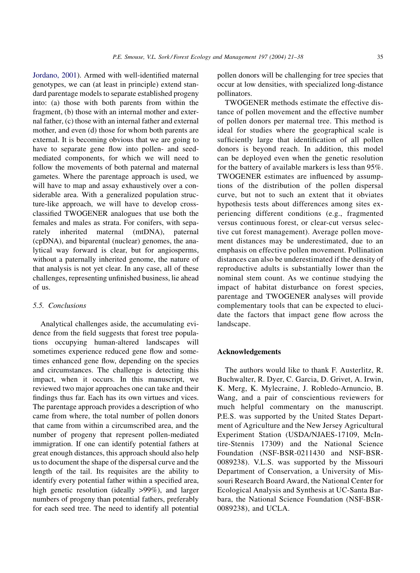[Jordano, 2001\)](#page-16-0). Armed with well-identified maternal genotypes, we can (at least in principle) extend standard parentage models to separate established progeny into: (a) those with both parents from within the fragment, (b) those with an internal mother and external father, (c) those with an internal father and external mother, and even (d) those for whom both parents are external. It is becoming obvious that we are going to have to separate gene flow into pollen- and seedmediated components, for which we will need to follow the movements of both paternal and maternal gametes. Where the parentage approach is used, we will have to map and assay exhaustively over a considerable area. With a generalized population structure-like approach, we will have to develop crossclassified TWOGENER analogues that use both the females and males as strata. For conifers, with separately inherited maternal (mtDNA), paternal (cpDNA), and biparental (nuclear) genomes, the analytical way forward is clear, but for angiosperms, without a paternally inherited genome, the nature of that analysis is not yet clear. In any case, all of these challenges, representing unfinished business, lie ahead

### 5.5. Conclusions

of us.

Analytical challenges aside, the accumulating evidence from the field suggests that forest tree populations occupying human-altered landscapes will sometimes experience reduced gene flow and sometimes enhanced gene flow, depending on the species and circumstances. The challenge is detecting this impact, when it occurs. In this manuscript, we reviewed two major approaches one can take and their findings thus far. Each has its own virtues and vices. The parentage approach provides a description of who came from where, the total number of pollen donors that came from within a circumscribed area, and the number of progeny that represent pollen-mediated immigration. If one can identify potential fathers at great enough distances, this approach should also help us to document the shape of the dispersal curve and the length of the tail. Its requisites are the ability to identify every potential father within a specified area, high genetic resolution (ideally  $>99\%$ ), and larger numbers of progeny than potential fathers, preferably for each seed tree. The need to identify all potential pollen donors will be challenging for tree species that occur at low densities, with specialized long-distance pollinators.

TWOGENER methods estimate the effective distance of pollen movement and the effective number of pollen donors per maternal tree. This method is ideal for studies where the geographical scale is sufficiently large that identification of all pollen donors is beyond reach. In addition, this model can be deployed even when the genetic resolution for the battery of available markers is less than 95%. TWOGENER estimates are influenced by assumptions of the distribution of the pollen dispersal curve, but not to such an extent that it obviates hypothesis tests about differences among sites experiencing different conditions (e.g., fragmented versus continuous forest, or clear-cut versus selective cut forest management). Average pollen movement distances may be underestimated, due to an emphasis on effective pollen movement. Pollination distances can also be underestimated if the density of reproductive adults is substantially lower than the nominal stem count. As we continue studying the impact of habitat disturbance on forest species, parentage and TWOGENER analyses will provide complementary tools that can be expected to elucidate the factors that impact gene flow across the landscape.

## Acknowledgements

The authors would like to thank F. Austerlitz, R. Buchwalter, R. Dyer, C. Garcia, D. Grivet, A. Irwin, K. Merg, K. Mylecraine, J. Robledo-Arnuncio, B. Wang, and a pair of conscientious reviewers for much helpful commentary on the manuscript. P.E.S. was supported by the United States Department of Agriculture and the New Jersey Agricultural Experiment Station (USDA/NJAES-17109, McIntire-Stennis 17309) and the National Science Foundation (NSF-BSR-0211430 and NSF-BSR-0089238). V.L.S. was supported by the Missouri Department of Conservation, a University of Missouri Research Board Award, the National Center for Ecological Analysis and Synthesis at UC-Santa Barbara, the National Science Foundation (NSF-BSR-0089238), and UCLA.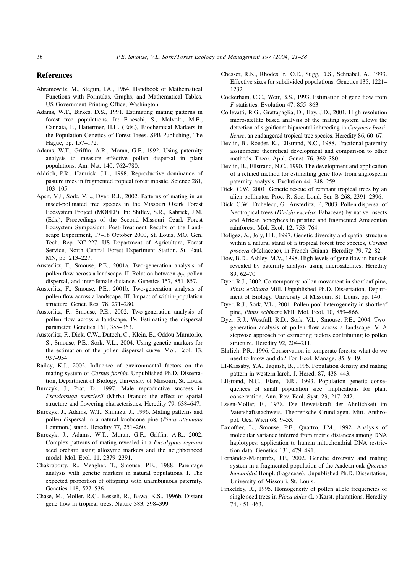#### <span id="page-15-0"></span>References

- Abramowitz, M., Stegun, I.A., 1964. Handbook of Mathematical Functions with Formulas, Graphs, and Mathematical Tables. US Government Printing Office, Washington.
- Adams, W.T., Birkes, D.S., 1991. Estimating mating patterns in forest tree populations. In: Fineschi, S., Malvolti, M.E., Cannata, F., Hattermer, H.H. (Eds.), Biochemical Markers in the Population Genetics of Forest Trees. SPB Publishing, The Hague, pp. 157–172.
- Adams, W.T., Griffin, A.R., Moran, G.F., 1992. Using paternity analysis to measure effective pollen dispersal in plant populations. Am. Nat. 140, 762–780.
- Aldrich, P.R., Hamrick, J.L., 1998. Reproductive dominance of pasture trees in fragmented tropical forest mosaic. Science 281, 103–105.
- Apsit, V.J., Sork, V.L., Dyer, R.J., 2002. Patterns of mating in an insect-pollinated tree species in the Missouri Ozark Forest Ecosystem Project (MOFEP). In: Shifley, S.R., Kabrick, J.M. (Eds.), Proceedings of the Second Missouri Ozark Forest Ecosystem Symposium: Post-Treatment Results of the Landscape Experiment, 17–18 October 2000, St. Louis, MO. Gen. Tech. Rep. NC-227. US Department of Agriculture, Forest Service, North Central Forest Experiment Station, St. Paul, MN, pp. 213–227.
- Austerlitz, F., Smouse, P.E., 2001a. Two-generation analysis of pollen flow across a landscape. II. Relation between  $\phi_{ft}$ , pollen dispersal, and inter-female distance. Genetics 157, 851–857.
- Austerlitz, F., Smouse, P.E., 2001b. Two-generation analysis of pollen flow across a landscape. III. Impact of within-population structure. Genet. Res. 78, 271–280.
- Austerlitz, F., Smouse, P.E., 2002. Two-generation analysis of pollen flow across a landscape. IV. Estimating the dispersal parameter. Genetics 161, 355–363.
- Austerlitz, F., Dick, C.W., Dutech, C., Klein, E., Oddou-Muratorio, S., Smouse, P.E., Sork, V.L., 2004. Using genetic markers for the estimation of the pollen dispersal curve. Mol. Ecol. 13, 937–954.
- Bailey, K.J., 2002. Influence of environmental factors on the mating system of Cornus florida. Unpublished Ph.D. Dissertation, Department of Biology, University of Missouri, St. Louis.
- Burczyk, J., Prat, D., 1997. Male reproductive success in Pseudotsuga menziesii (Mirb.) Franco: the effect of spatial structure and flowering characteristics. Heredity 79, 638–647.
- Burczyk, J., Adams, W.T., Shimizu, J., 1996. Mating patterns and pollen dispersal in a natural knobcone pine (Pinus attenuata Lemmon.) stand. Heredity 77, 251–260.
- Burczyk, J., Adams, W.T., Moran, G.F., Griffin, A.R., 2002. Complex patterns of mating revealed in a Eucalyptus regnans seed orchard using allozyme markers and the neighborhood model. Mol. Ecol. 11, 2379–2391.
- Chakraborty, R., Meagher, T., Smouse, P.E., 1988. Parentage analysis with genetic markers in natural populations. I. The expected proportion of offspring with unambiguous paternity. Genetics 118, 527–536.
- Chase, M., Moller, R.C., Kesseli, R., Bawa, K.S., 1996b. Distant gene flow in tropical trees. Nature 383, 398–399.
- Chesser, R.K., Rhodes Jr., O.E., Sugg, D.S., Schnabel, A., 1993. Effective sizes for subdivided populations. Genetics 135, 1221– 1232.
- Cockerham, C.C., Weir, B.S., 1993. Estimation of gene flow from F-statistics. Evolution 47, 855–863.
- Collevatti, R.G., Grattapaglia, D., Hay, J.D., 2001. High resolution microsatellite based analysis of the mating system allows the detection of significant biparental inbreeding in Caryocar brasiliense, an endangered tropical tree species. Heredity 86, 60–67.
- Devlin, B., Roeder, K., Ellstrand, N.C., 1988. Fractional paternity assignment: theoretical development and comparison to other methods. Theor. Appl. Genet. 76, 369–380.
- Devlin, B., Ellstrand, N.C., 1990. The development and application of a refined method for estimating gene flow from angiosperm paternity analysis. Evolution 44, 248–259.
- Dick, C.W., 2001. Genetic rescue of remnant tropical trees by an alien pollinator. Proc. R. Soc. Lond. Ser. B 268, 2391–2396.
- Dick, C.W., Etchelecu, G., Austerlitz, F., 2003. Pollen dispersal of Neotropical trees (Dinizia excelsa: Fabaceae) by native insects and African honeybees in pristine and fragmented Amazonian rainforest. Mol. Ecol. 12, 753–764.
- Doligez, A., Joly, H.I., 1997. Genetic diversity and spatial structure within a natural stand of a tropical forest tree species, Carapa procera (Meliaceae), in French Guiana. Heredity 79, 72–82.
- Dow, B.D., Ashley, M.V., 1998. High levels of gene flow in bur oak revealed by paternity analysis using microsatellites. Heredity 89, 62–70.
- Dyer, R.J., 2002. Contemporary pollen movement in shortleaf pine, Pinus echinata Mill. Unpublished Ph.D. Dissertation, Department of Biology, University of Missouri, St. Louis, pp. 140.
- Dyer, R.J., Sork, V.L., 2001. Pollen pool heterogeneity in shortleaf pine, Pinus echinata Mill. Mol. Ecol. 10, 859–866.
- Dyer, R.J., Westfall, R.D., Sork, V.L., Smouse, P.E., 2004. Twogeneration analysis of pollen flow across a landscape. V. A stepwise approach for extracting factors contributing to pollen structure. Heredity 92, 204–211.
- Ehrlich, P.R., 1996. Conservation in temperate forests: what do we need to know and do? For. Ecol. Manage. 85, 9–19.
- El-Kassaby, Y.A., Jaquish, B., 1996. Population density and mating pattern in western larch. J. Hered. 87, 438–443.
- Ellstrand, N.C., Elam, D.R., 1993. Population genetic consequences of small population size: implications for plant conservation. Ann. Rev. Ecol. Syst. 23, 217–242.
- Essen-Moller, E., 1938. Die Beweiskraft der Ähnlichkeit im Vatershaftsnachweis. Theoretische Grundlagen. Mitt. Anthropol. Ges. Wien 68, 9–53.
- Excoffier, L., Smouse, P.E., Quattro, J.M., 1992. Analysis of molecular variance inferred from metric distances among DNA haplotypes: application to human mitochondrial DNA restriction data. Genetics 131, 479–491.
- Fernández-Manjarrés, J.F., 2002. Genetic diversity and mating system in a fragmented population of the Andean oak Quercus humboldtii Bonpl. (Fagaceae). Unpublished Ph.D. Dissertation, University of Missouri, St. Louis.
- Finkeldey, R., 1995. Homogeneity of pollen allele frequencies of single seed trees in Picea abies (L.) Karst. plantations. Heredity 74, 451–463.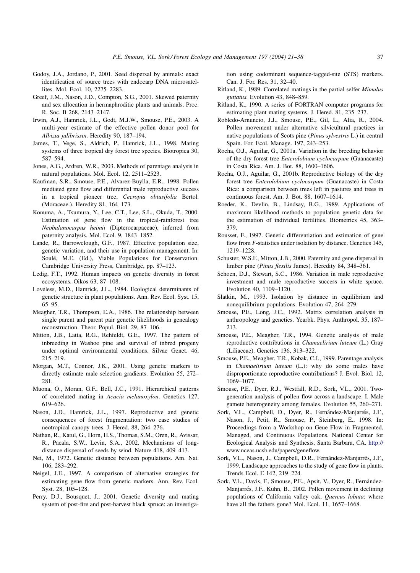- <span id="page-16-0"></span>Godoy, J.A., Jordano, P., 2001. Seed dispersal by animals: exact identification of source trees with endocarp DNA microsatellites. Mol. Ecol. 10, 2275–2283.
- Greef, J.M., Nason, J.D., Compton, S.G., 2001. Skewed paternity and sex allocation in hermaphroditic plants and animals. Proc. R. Soc. B 268, 2143–2147.
- Irwin, A.J., Hamrick, J.L., Godt, M.J.W., Smouse, P.E., 2003. A multi-year estimate of the effective pollen donor pool for Albizia julibrissin. Heredity 90, 187–194.
- James, T., Vege, S., Aldrich, P., Hamrick, J.L., 1998. Mating systems of three tropical dry forest tree species. Biotropica 30, 587–594.
- Jones, A.G., Ardren, W.R., 2003. Methods of parentage analysis in natural populations. Mol. Ecol. 12, 2511–2523.
- Kaufman, S.R., Smouse, P.E., Alvarez-Buylla, E.R., 1998. Pollen mediated gene flow and differential male reproductive success in a tropical pioneer tree, Cecropia obtusifolia Bertol. (Moraceae.). Heredity 81, 164–173.
- Konuma, A., Tsumura, Y., Lee, C.T., Lee, S.L., Okuda, T., 2000. Estimation of gene flow in the tropical-rainforest tree Neobalanocarpus heimii (Dipterocarpaceae), inferred from paternity analysis. Mol. Ecol. 9, 1843–1852.
- Lande, R., Barrowclough, G.F., 1987. Effective population size, genetic variation, and their use in population management. In: Soulé, M.E. (Ed.), Viable Populations for Conservation. Cambridge University Press, Cambridge, pp. 87–123.
- Ledig, F.T., 1992. Human impacts on genetic diversity in forest ecosystems. Oikos 63, 87–108.
- Loveless, M.D., Hamrick, J.L., 1984. Ecological determinants of genetic structure in plant populations. Ann. Rev. Ecol. Syst. 15, 65–95.
- Meagher, T.R., Thompson, E.A., 1986. The relationship between single parent and parent pair genetic likelihoods in genealogy reconstruction. Theor. Popul. Biol. 29, 87–106.
- Mitton, J.B., Latta, R.G., Rehfeldt, G.E., 1997. The pattern of inbreeding in Washoe pine and survival of inbred progeny under optimal environmental conditions. Silvae Genet. 46, 215–219.
- Morgan, M.T., Connor, J.K., 2001. Using genetic markers to directly estimate male selection gradients. Evolution 55, 272– 281.
- Muona, O., Moran, G.F., Bell, J.C., 1991. Hierarchical patterns of correlated mating in Acacia melanoxylon. Genetics 127, 619–626.
- Nason, J.D., Hamrick, J.L., 1997. Reproductive and genetic consequences of forest fragmentation: two case studies of neotropical canopy trees. J. Hered. 88, 264–276.
- Nathan, R., Katul, G., Horn, H.S., Thomas, S.M., Oren, R., Avissar, R., Pacala, S.W., Levin, S.A., 2002. Mechanisms of longdistance dispersal of seeds by wind. Nature 418, 409–413.
- Nei, M., 1972. Genetic distance between populations. Am. Nat. 106, 283–292.
- Neigel, J.E., 1997. A comparison of alternative strategies for estimating gene flow from genetic markers. Ann. Rev. Ecol. Syst. 28, 105–128.
- Perry, D.J., Bousquet, J., 2001. Genetic diversity and mating system of post-fire and post-harvest black spruce: an investiga-

tion using codominant sequence-tagged-site (STS) markers. Can. J. For. Res. 31, 32–40.

- Ritland, K., 1989. Correlated matings in the partial selfer Mimulus guttatus. Evolution 43, 848–859.
- Ritland, K., 1990. A series of FORTRAN computer programs for estimating plant mating systems. J. Hered. 81, 235–237.
- Robledo-Arnuncio, J.J., Smouse, P.E., Gil, L., Alia, R., 2004. Pollen movement under alternative silvicultural practices in native populations of Scots pine (Pinus sylvestris L.) in central Spain. For. Ecol. Manage. 197, 243–253.
- Rocha, O.J., Aguilar, G., 2001a. Variation in the breeding behavior of the dry forest tree Enterolobium cyclocarpum (Guanacaste) in Costa Rica. Am. J. Bot. 88, 1600–1606.
- Rocha, O.J., Aguilar, G., 2001b. Reproductive biology of the dry forest tree Enterolobium cyclocarpum (Guanacaste) in Costa Rica: a comparison between trees left in pastures and trees in continuous forest. Am. J. Bot. 88, 1607–1614.
- Roeder, K., Devlin, B., Lindsay, B.G., 1989. Applications of maximum likelihood methods to population genetic data for the estimation of individual fertilities. Biometrics 45, 363– 379.
- Rousset, F., 1997. Genetic differentiation and estimation of gene flow from *F*-statistics under isolation by distance. Genetics 145, 1219–1228.
- Schuster, W.S.F., Mitton, J.B., 2000. Paternity and gene dispersal in limber pine (Pinus flexilis James). Heredity 84, 348–361.
- Schoen, D.J., Stewart, S.C., 1986. Variation in male reproductive investment and male reproductive success in white spruce. Evolution 40, 1109–1120.
- Slatkin, M., 1993. Isolation by distance in equilibrium and nonequilibrium populations. Evolution 47, 264–279.
- Smouse, P.E., Long, J.C., 1992. Matrix correlation analysis in anthropology and genetics. Yearbk. Phys. Anthropol. 35, 187– 213.
- Smouse, P.E., Meagher, T.R., 1994. Genetic analysis of male reproductive contributions in Chamaelirium luteum (L.) Gray (Liliaceae). Genetics 136, 313–322.
- Smouse, P.E., Meagher, T.R., Kobak, C.J., 1999. Parentage analysis in *Chamaelirium luteum* (L.): why do some males have disproportionate reproductive contributions? J. Evol. Biol. 12, 1069–1077.
- Smouse, P.E., Dyer, R.J., Westfall, R.D., Sork, V.L., 2001. Twogeneration analysis of pollen flow across a landscape. I. Male gamete heterogeneity among females. Evolution 55, 260–271.
- Sork, V.L., Campbell, D., Dyer, R., Fernández-Manjarrés, J.F., Nason, J., Petit, R., Smouse, P., Steinberg, E., 1998. In: Proceedings from a Workshop on Gene Flow in Fragmented, Managed, and Continuous Populations. National Center for Ecological Analysis and Synthesis, Santa Barbara, CA. <http://> www.nceas.ucsb.edu/papers/geneflow.
- Sork, V.L., Nason, J., Campbell, D.R., Fernández-Manjarrés, J.F., 1999. Landscape approaches to the study of gene flow in plants. Trends Ecol. E 142, 219–224.
- Sork, V.L., Davis, F., Smouse, P.E., Apsit, V., Dyer, R., Fernández-Manjarrés, J.F., Kuhn, B., 2002. Pollen movement in declining populations of California valley oak, *Quercus lobata*: where have all the fathers gone? Mol. Ecol. 11, 1657-1668.